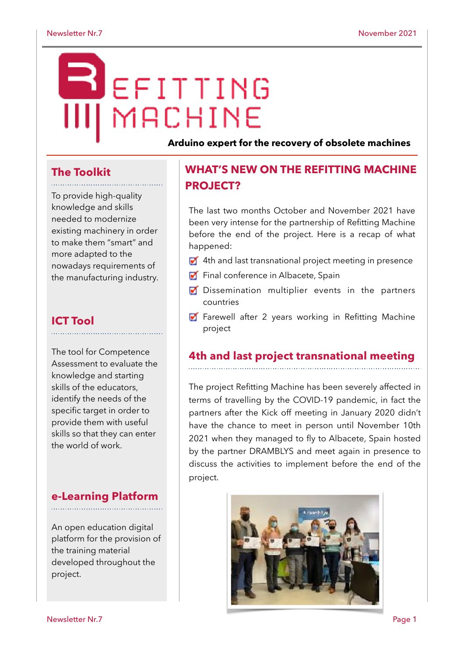# EFITTING MACHINE

**Arduino expert for the recovery of obsolete machines**

# **The Toolkit**

To provide high-quality knowledge and skills needed to modernize existing machinery in order to make them "smart" and more adapted to the nowadays requirements of the manufacturing industry.

#### **ICT Tool**

The tool for Competence Assessment to evaluate the knowledge and starting skills of the educators, identify the needs of the specific target in order to provide them with useful skills so that they can enter the world of work.

#### **e-Learning Platform**

An open education digital platform for the provision of the training material developed throughout the project.

## **WHAT'S NEW ON THE REFITTING MACHINE PROJECT?**

The last two months October and November 2021 have been very intense for the partnership of Refitting Machine before the end of the project. Here is a recap of what happened:

- **4th and last transnational project meeting in presence**
- Final conference in Albacete, Spain
- Dissemination multiplier events in the partners countries
- **Farewell after 2 years working in Refitting Machine** project

#### **4th and last project transnational meeting**

The project Refitting Machine has been severely affected in terms of travelling by the COVID-19 pandemic, in fact the partners after the Kick off meeting in January 2020 didn't have the chance to meet in person until November 10th 2021 when they managed to fly to Albacete, Spain hosted by the partner DRAMBLYS and meet again in presence to discuss the activities to implement before the end of the project.

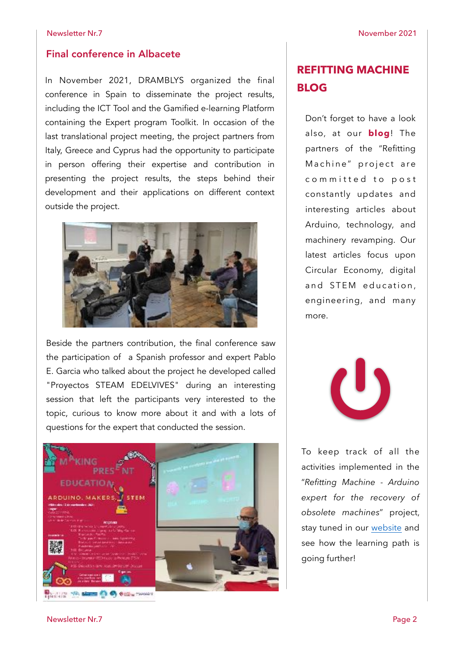#### Final conference in Albacete

In November 2021, DRAMBLYS organized the final conference in Spain to disseminate the project results, including the ICT Tool and the Gamified e-learning Platform containing the Expert program Toolkit. In occasion of the last translational project meeting, the project partners from Italy, Greece and Cyprus had the opportunity to participate in person offering their expertise and contribution in presenting the project results, the steps behind their development and their applications on different context outside the project.



Beside the partners contribution, the final conference saw the participation of a Spanish professor and expert Pablo E. Garcia who talked about the project he developed called "Proyectos STEAM EDELVIVES" during an interesting session that left the participants very interested to the topic, curious to know more about it and with a lots of questions for the expert that conducted the session.



### **REFITTING MACHINE BLOG**

Don't forget to have a look also, at our **[blog](https://refittingmachine.eu/blog/)**! The partners of the "Refitting Machine" project are committed to post constantly updates and interesting articles about Arduino, technology, and machinery revamping. Our latest articles focus upon Circular Economy, digital and STEM education, engineering, and many more.



To keep track of all the activities implemented in the "*Refitting Machine - Arduino expert for the recovery of obsolete machines*" project, stay tuned in our [website](https://refittingmachine.eu/) and see how the learning path is going further!

Newsletter Nr.7 Page 2